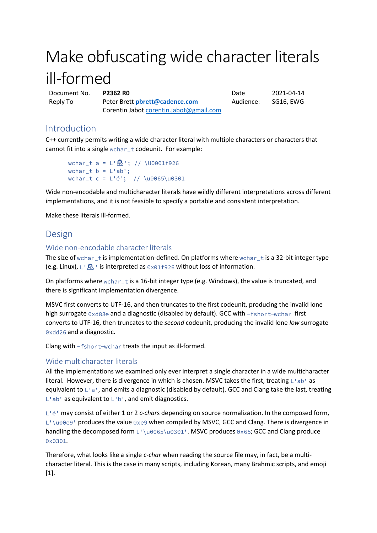# Make obfuscating wide character literals ill-formed

Document No. **P2362 R0** Date 2021-04-14 Reply To Peter Brett **[pbrett@cadence.com](mailto:pbrett@cadence.com?subject=Re:%20P1892R0%20Extended%20locale-specific%20presentation%20specifiers%20for%20std::format)** Corentin Jabot [corentin.jabot@gmail.com](mailto:corentin.jabot@gmail.com)

Audience: SG16, EWG

# Introduction

C++ currently permits writing a wide character literal with multiple characters or characters that cannot fit into a single wchar  $t$  codeunit. For example:

```
wchar_t a = L' \, \sqrt{(10001)} + \sqrt{(10001)} + \sqrt{(10001)} + \sqrt{(10001)} + \sqrt{(10001)} + \sqrt{(10001)} + \sqrt{(10001)} + \sqrt{(10001)} + \sqrt{(10001)} + \sqrt{(10001)} + \sqrt{(10001)} + \sqrt{(10001)} + \sqrt{(10001)} + \sqrt{(10001)} + \sqrt{(1wchar_t b = L'ab';
wchar_t c = L'é'; // \u0065\u0301
```
Wide non-encodable and multicharacter literals have wildly different interpretations across different implementations, and it is not feasible to specify a portable and consistent interpretation.

Make these literals ill-formed.

# Design

## Wide non-encodable character literals

The size of wchar\_t is implementation-defined. On platforms where wchar\_t is a 32-bit integer type (e.g. Linux),  $L^{\dagger}$   $\mathbb{R}$  ' is interpreted as  $0 \times 01$  f926 without loss of information.

On platforms where wchar\_t is a 16-bit integer type (e.g. Windows), the value is truncated, and there is significant implementation divergence.

MSVC first converts to UTF-16, and then truncates to the first codeunit, producing the invalid lone high surrogate  $0 \times d83e$  and a diagnostic (disabled by default). GCC with  $-fshort-wchar$  first converts to UTF-16, then truncates to the *second* codeunit, producing the invalid lone *low* surrogate 0xdd26 and a diagnostic.

Clang with  $-fshort-wchar$  treats the input as ill-formed.

## Wide multicharacter literals

All the implementations we examined only ever interpret a single character in a wide multicharacter literal. However, there is divergence in which is chosen. MSVC takes the first, treating  $L^{\dagger}$  ab as equivalent to  $L^{\dagger}a^{\dagger}$ , and emits a diagnostic (disabled by default). GCC and Clang take the last, treating  $L$ 'ab' as equivalent to  $L$ 'b', and emit diagnostics.

L<sup>1</sup>é<sup>'</sup> may consist of either 1 or 2 *c-chars* depending on source normalization. In the composed form,  $L^{\dagger}$  all  $\theta$  produces the value  $\theta$ xe9 when compiled by MSVC, GCC and Clang. There is divergence in handling the decomposed form  $L^{\text{10065\10301}}$ . MSVC produces 0x65; GCC and Clang produce 0x0301.

Therefore, what looks like a single *c-char* when reading the source file may, in fact, be a multicharacter literal. This is the case in many scripts, including Korean, many Brahmic scripts, and emoji [1].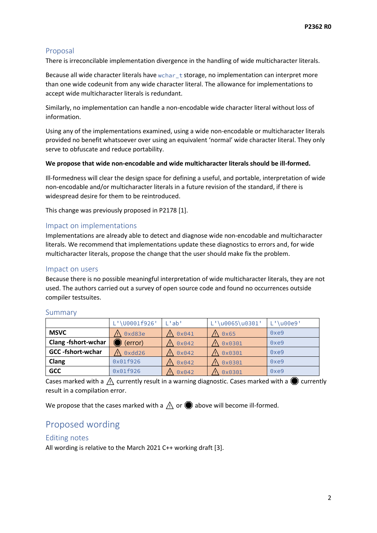## Proposal

There is irreconcilable implementation divergence in the handling of wide multicharacter literals.

Because all wide character literals have wchar\_t storage, no implementation can interpret more than one wide codeunit from any wide character literal. The allowance for implementations to accept wide multicharacter literals is redundant.

Similarly, no implementation can handle a non-encodable wide character literal without loss of information.

Using any of the implementations examined, using a wide non-encodable or multicharacter literals provided no benefit whatsoever over using an equivalent 'normal' wide character literal. They only serve to obfuscate and reduce portability.

#### **We propose that wide non-encodable and wide multicharacter literals should be ill-formed.**

Ill-formedness will clear the design space for defining a useful, and portable, interpretation of wide non-encodable and/or multicharacter literals in a future revision of the standard, if there is widespread desire for them to be reintroduced.

This change was previously proposed in P2178 [1].

## Impact on implementations

Implementations are already able to detect and diagnose wide non-encodable and multicharacter literals. We recommend that implementations update these diagnostics to errors and, for wide multicharacter literals, propose the change that the user should make fix the problem.

#### Impact on users

Because there is no possible meaningful interpretation of wide multicharacter literals, they are not used. The authors carried out a survey of open source code and found no occurrences outside compiler testsuites.

|                          | L'\U0001f926' | !ab!           | $L' \u0065 \u0301'$ | \u00e9' |
|--------------------------|---------------|----------------|---------------------|---------|
| <b>MSVC</b>              | 0xd83e        | $0 \times 041$ | 0x65                | 0xe9    |
| Clang-fshort-wchar       | (error)       | $0 \times 042$ | 0x0301              | 0xe9    |
| <b>GCC</b> -fshort-wchar | $0$ xdd $26$  | $0 \times 042$ | 0x0301              | 0xe9    |
| Clang                    | 0x01f926      | $0 \times 042$ | 0x0301              | 0xe9    |
| <b>GCC</b>               | 0x01f926      | $0 \times 042$ | 0x0301              | 0xe9    |

#### Summary

Cases marked with a  $\triangle$  currently result in a warning diagnostic. Cases marked with a  $\bigcirc$  currently result in a compilation error.

We propose that the cases marked with a  $\Lambda$  or  $\bullet$  above will become ill-formed.

# Proposed wording

#### Editing notes

All wording is relative to the March 2021 C++ working draft [3].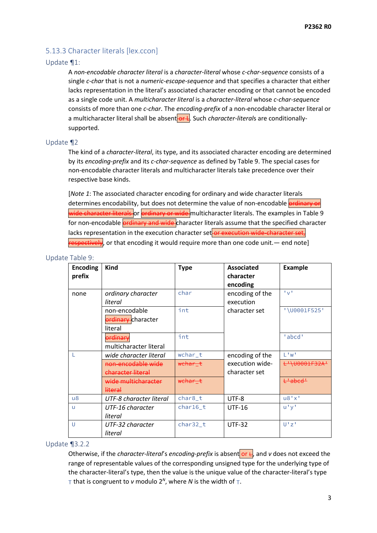## 5.13.3 Character literals [lex.ccon]

#### Update ¶1:

A *non-encodable character literal* is a *character-literal* whose *c-char-sequence* consists of a single *c-char* that is not a *numeric-escape-sequence* and that specifies a character that either lacks representation in the literal's associated character encoding or that cannot be encoded as a single code unit. A *multicharacter literal* is a *character-literal* whose *c-char-sequence* consists of more than one *c-char*. The *encoding-prefix* of a non-encodable character literal or a multicharacter literal shall be absent or L. Such *character-literals* are conditionallysupported.

#### Update ¶2

The kind of a *character-literal*, its type, and its associated character encoding are determined by its *encoding-prefix* and its *c-char-sequence* as defined by Table 9. The special cases for non-encodable character literals and multicharacter literals take precedence over their respective base kinds.

[*Note 1*: The associated character encoding for ordinary and wide character literals determines encodability, but does not determine the value of non-encodable **ordinary or** wide character literals or ordinary or wide multicharacter literals. The examples in Table 9 for non-encodable **ordinary and wide** character literals assume that the specified character lacks representation in the execution character set or execution wide-character set,  $r$ espectively, or that encoding it would require more than one code unit.— end note]

#### Update Table 9:

| <b>Encoding</b><br>prefix | <b>Kind</b>                                    | <b>Type</b>        | Associated<br>character<br>encoding | <b>Example</b>     |
|---------------------------|------------------------------------------------|--------------------|-------------------------------------|--------------------|
| none                      | ordinary character<br>literal                  | char               | encoding of the<br>execution        | 1 <sub>M</sub> 1   |
|                           | non-encodable<br>ordinary-character<br>literal | int                | character set                       | '\U0001F525'       |
|                           | ordinary<br>multicharacter literal             | int                |                                     | 'abcd'             |
|                           | wide character literal                         | wchar t            | encoding of the                     | L'w'               |
|                           | non-encodable wide<br>character literal        | wehar t            | execution wide-<br>character set    | L'\U0001F32A'      |
|                           | wide multicharacter<br><u>literal</u>          | <del>wchar t</del> |                                     | <del>L'abcd'</del> |
| $\mathsf{u}8$             | UTF-8 character literal                        | char8_t            | UTF-8                               | u8'x'              |
| $\mathsf{u}$              | UTF-16 character<br>literal                    | char16_t           | <b>UTF-16</b>                       | u'y'               |
| U                         | UTF-32 character<br>literal                    | char32_t           | <b>UTF-32</b>                       | U'Z'               |

#### Update ¶3.2.2

Otherwise, if the *character-literal's encoding-prefix* is absent or  $\frac{1}{x}$  and *v* does not exceed the range of representable values of the corresponding unsigned type for the underlying type of the character-literal's type, then the value is the unique value of the character-literal's type that is congruent to  $v$  modulo  $2^N$ , where N is the width of  $T$ .